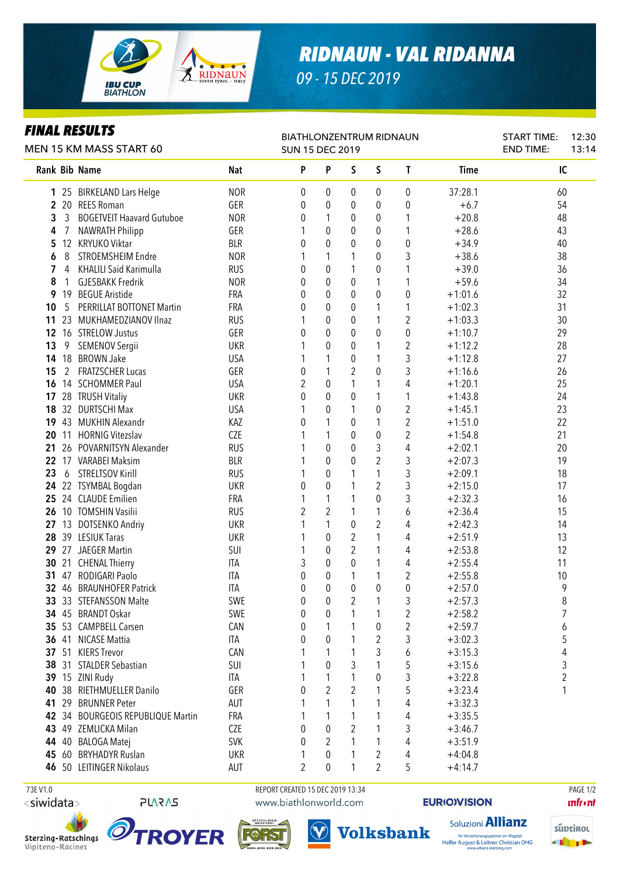

*09 - 15 DEC 2019*

## *FINAL RESULTS*

| FINAL KESULIS<br>MEN 15 KM MASS START 60 |                |                                   |            | <b>BIATHLONZENTRUM RIDNAUN</b><br><b>SUN 15 DEC 2019</b> |                |                  |                |                         |             | <b>START TIME:</b><br><b>END TIME:</b> | 12:30<br>13:14 |
|------------------------------------------|----------------|-----------------------------------|------------|----------------------------------------------------------|----------------|------------------|----------------|-------------------------|-------------|----------------------------------------|----------------|
|                                          |                | Rank Bib Name                     | <b>Nat</b> | P                                                        | P              | S                | S              | T                       | <b>Time</b> | IC                                     |                |
|                                          |                | 1 25 BIRKELAND Lars Helge         | <b>NOR</b> | 0                                                        | 0              | 0                | 0              | 0                       | 37:28.1     | 60                                     |                |
|                                          | 2 20           | <b>REES Roman</b>                 | GER        | 0                                                        | 0              | 0                | 0              | 0                       | $+6.7$      | 54                                     |                |
| 3                                        | 3              | <b>BOGETVEIT Haavard Gutuboe</b>  | <b>NOR</b> | 0                                                        | 1              | 0                | 0              | 1                       | $+20.8$     | 48                                     |                |
| 4                                        |                | <b>NAWRATH Philipp</b>            | GER        | 1                                                        | 0              | 0                | 0              | 1                       | $+28.6$     | 43                                     |                |
| 5                                        | 12             | <b>KRYUKO Viktar</b>              | <b>BLR</b> | $\theta$                                                 | $\theta$       | 0                | 0              | $\pmb{0}$               | $+34.9$     | 40                                     |                |
| 6                                        | 8              | STROEMSHEIM Endre                 | <b>NOR</b> | 1                                                        | 1              | 1                | 0              | 3                       | $+38.6$     | 38                                     |                |
| 7                                        | 4              | <b>KHALILI Said Karimulla</b>     | <b>RUS</b> | 0                                                        | 0              | 1                | 0              | 1                       | $+39.0$     | 36                                     |                |
| 8                                        | 1              | <b>GJESBAKK Fredrik</b>           | <b>NOR</b> | 0                                                        | 0              | 0                | 1              | 1                       | $+59.6$     | 34                                     |                |
| 9                                        | 19             | <b>BEGUE Aristide</b>             | <b>FRA</b> | 0                                                        | 0              | 0                | $\mathbf 0$    | 0                       | $+1:01.6$   | 32                                     |                |
| 10                                       | 5              | PERRILLAT BOTTONET Martin         | FRA        | 0                                                        | 0              | 0                | 1              | 1                       | $+1:02.3$   | 31                                     |                |
| 11                                       | 23             | MUKHAMEDZIANOV Ilnaz              | <b>RUS</b> | 1                                                        | 0              | 0                | 1              | $\boldsymbol{2}$        | $+1:03.3$   | 30                                     |                |
| $12 \,$                                  |                | 16 STRELOW Justus                 | GER        | 0                                                        | 0              | 0                | 0              | 0                       | $+1:10.7$   | 29                                     |                |
| 13                                       | 9              | SEMENOV Sergii                    | <b>UKR</b> | 1                                                        | 0              | 0                | 1              | $\overline{2}$          | $+1:12.2$   | 28                                     |                |
| 14                                       | 18             | <b>BROWN Jake</b>                 | <b>USA</b> | 1                                                        | 1              | $\boldsymbol{0}$ | 1              | 3                       | $+1:12.8$   | 27                                     |                |
| 15                                       | $\overline{2}$ | <b>FRATZSCHER Lucas</b>           | GER        | 0                                                        | 1              | 2                | 0              | 3                       | $+1:16.6$   | 26                                     |                |
| 16                                       |                | 14 SCHOMMER Paul                  | <b>USA</b> | $\overline{2}$                                           | 0              | 1                | 1              | 4                       | $+1:20.1$   | 25                                     |                |
| 17                                       |                | 28 TRUSH Vitaliy                  | <b>UKR</b> | 0                                                        | $\mathbf 0$    | $\pmb{0}$        | 1              | 1                       | $+1:43.8$   | 24                                     |                |
| 18                                       |                | 32 DURTSCHI Max                   | <b>USA</b> | 1                                                        | 0              | 1                | $\mathbf 0$    | $\boldsymbol{2}$        | $+1:45.1$   | 23                                     |                |
|                                          |                | 19 43 MUKHIN Alexandr             | KAZ        | 0                                                        | 1              | $\pmb{0}$        | 1              | $\overline{2}$          | $+1:51.0$   | 22                                     |                |
| 20                                       | 11             | <b>HORNIG Vitezslav</b>           | CZE        |                                                          | 1              | $\pmb{0}$        | 0              | $\boldsymbol{2}$        | $+1:54.8$   | 21                                     |                |
| 21                                       |                | 26 POVARNITSYN Alexander          | <b>RUS</b> |                                                          | $\mathbf 0$    | $\pmb{0}$        | 3              | 4                       | $+2:02.1$   | 20                                     |                |
| 22                                       |                | 17 VARABEI Maksim                 | <b>BLR</b> |                                                          | 0              | $\boldsymbol{0}$ | $\overline{2}$ | 3                       | $+2:07.3$   | 19                                     |                |
| 23                                       | 6              | <b>STRELTSOV Kirill</b>           | <b>RUS</b> | 1                                                        | 0              | 1                | 1              | 3                       | $+2:09.1$   | 18                                     |                |
| 24                                       |                | 22 TSYMBAL Bogdan                 | <b>UKR</b> | $\theta$                                                 | $\mathbf 0$    | 1                | $\overline{2}$ | 3                       | $+2:15.0$   | 17                                     |                |
| $25\,$                                   |                | 24 CLAUDE Emilien                 | FRA        | 1                                                        | 1              | 1                | $\mathbf 0$    | 3                       | $+2:32.3$   | 16                                     |                |
| 26                                       |                | 10 TOMSHIN Vasilii                | <b>RUS</b> | $\overline{2}$                                           | $\overline{2}$ |                  | 1              |                         | $+2:36.4$   |                                        |                |
|                                          |                |                                   | <b>UKR</b> | 1                                                        | 1              | 1<br>$\mathbf 0$ | $\overline{2}$ | 6<br>4                  |             | 15                                     |                |
| 27                                       |                | 13 DOTSENKO Andriy                |            |                                                          |                |                  |                |                         | $+2:42.3$   | 14                                     |                |
| 28                                       |                | 39 LESIUK Taras                   | <b>UKR</b> | 1                                                        | 0              | 2                | 1              | 4                       | $+2:51.9$   | 13                                     |                |
|                                          |                | 29 27 JAEGER Martin               | SUI        | 1                                                        | 0              | $\overline{c}$   | 1              | 4                       | $+2:53.8$   | 12                                     |                |
| 30                                       | 21             | <b>CHENAL Thierry</b>             | ITA        | 3                                                        | 0              | $\mathbf 0$      | 1              | 4                       | $+2:55.4$   | 11                                     |                |
| 31                                       | 47             | RODIGARI Paolo                    | <b>ITA</b> | 0                                                        | 0              | 1                | 1              | 2                       | $+2:55.8$   | 10                                     |                |
|                                          |                | 32 46 BRAUNHOFER Patrick          | <b>ITA</b> | 0                                                        | 0              | 0                | 0              | 0                       | $+2:57.0$   | 9                                      |                |
|                                          |                | 33 33 STEFANSSON Malte            | SWE        | 0                                                        | 0              | 2                | 1              | 3                       | $+2:57.3$   | 8                                      |                |
|                                          |                | 34 45 BRANDT Oskar                | SWE        | 0                                                        | 0              |                  | 1              | 2                       | $+2:58.2$   | 7                                      |                |
|                                          |                | 35 53 CAMPBELL Carsen             | CAN        | 0                                                        | 1              |                  | 0              | $\overline{\mathbf{c}}$ | $+2:59.7$   | 6                                      |                |
|                                          |                | 36 41 NICASE Mattia               | ITA        | 0                                                        | 0              |                  | 2              | 3                       | $+3:02.3$   | 5                                      |                |
|                                          |                | 37 51 KIERS Trevor                | CAN        | 1                                                        | 1              |                  | 3              | 6                       | $+3:15.3$   | 4                                      |                |
|                                          |                | 38 31 STALDER Sebastian           | SUI        |                                                          | 0              | 3                | 1              | 5                       | $+3:15.6$   | 3                                      |                |
|                                          |                | 39 15 ZINI Rudy                   | ITA        |                                                          | 1              | 1                | 0              | 3                       | $+3:22.8$   | 2                                      |                |
| 40                                       |                | 38 RIETHMUELLER Danilo            | GER        | 0                                                        | 2              | 2                | 1              | 5                       | $+3:23.4$   | 1                                      |                |
|                                          |                | 41 29 BRUNNER Peter               | AUT        |                                                          | 1              |                  | 1              | 4                       | $+3:32.3$   |                                        |                |
|                                          |                | 42 34 BOURGEOIS REPUBLIQUE Martin | FRA        |                                                          | 1              |                  | 1              | 4                       | $+3:35.5$   |                                        |                |
|                                          |                | 43 49 ZEMLICKA Milan              | CZE        | 0                                                        | 0              | 2                | 1              | 3                       | $+3:46.7$   |                                        |                |
|                                          |                | 44 40 BALOGA Matej                | <b>SVK</b> | 0                                                        | 2              | 1                | 1              | 4                       | $+3:51.9$   |                                        |                |
|                                          |                | 45 60 BRYHADYR Ruslan             | <b>UKR</b> | 1                                                        | 0              | 1                | 2              | 4                       | $+4:04.8$   |                                        |                |
|                                          |                | 46 50 LEITINGER Nikolaus          | AUT        | 2                                                        | 0              | 1                | $\overline{2}$ | 5                       | $+4:14.7$   |                                        |                |

<siwidata>

Vipiteno-Racines

0 **ROYER** Sterzing-Ratschings

**PLARAS** 



SPEZIALBIEK<br>BRAUEREI

Forst

**EURIOVISION** 

Soluzioni **Allianz** 

**unfront** 



**Volksbank** Ihr Versicherungspartner im Wipptal<br>Helfer August & Leitner Christian OHG<br>www.allianz-sterzing.com